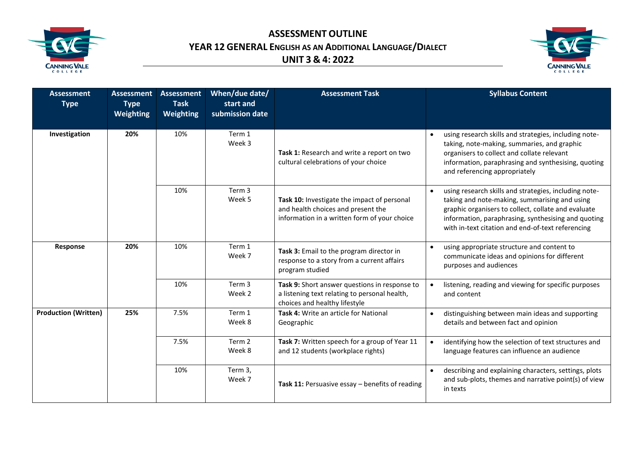

**ASSESSMENT OUTLINE YEAR 12 GENERAL ENGLISH AS AN ADDITIONAL LANGUAGE/DIALECT UNIT 3 & 4: 2022**



| <b>Assessment</b><br><b>Type</b> | <b>Assessment</b><br><b>Type</b><br><b>Weighting</b> | <b>Assessment</b><br><b>Task</b><br>Weighting | When/due date/<br>start and<br>submission date | <b>Assessment Task</b>                                                                                                            | <b>Syllabus Content</b>                                                                                                                                                                                                                                                                |
|----------------------------------|------------------------------------------------------|-----------------------------------------------|------------------------------------------------|-----------------------------------------------------------------------------------------------------------------------------------|----------------------------------------------------------------------------------------------------------------------------------------------------------------------------------------------------------------------------------------------------------------------------------------|
| Investigation                    | 20%                                                  | 10%                                           | Term 1<br>Week 3                               | Task 1: Research and write a report on two<br>cultural celebrations of your choice                                                | using research skills and strategies, including note-<br>taking, note-making, summaries, and graphic<br>organisers to collect and collate relevant<br>information, paraphrasing and synthesising, quoting<br>and referencing appropriately                                             |
|                                  |                                                      | 10%                                           | Term 3<br>Week 5                               | Task 10: Investigate the impact of personal<br>and health choices and present the<br>information in a written form of your choice | using research skills and strategies, including note-<br>$\bullet$<br>taking and note-making, summarising and using<br>graphic organisers to collect, collate and evaluate<br>information, paraphrasing, synthesising and quoting<br>with in-text citation and end-of-text referencing |
| Response                         | 20%                                                  | 10%                                           | Term 1<br>Week 7                               | Task 3: Email to the program director in<br>response to a story from a current affairs<br>program studied                         | using appropriate structure and content to<br>$\bullet$<br>communicate ideas and opinions for different<br>purposes and audiences                                                                                                                                                      |
|                                  |                                                      | 10%                                           | Term 3<br>Week 2                               | Task 9: Short answer questions in response to<br>a listening text relating to personal health,<br>choices and healthy lifestyle   | listening, reading and viewing for specific purposes<br>and content                                                                                                                                                                                                                    |
| <b>Production (Written)</b>      | 25%                                                  | 7.5%                                          | Term 1<br>Week 8                               | Task 4: Write an article for National<br>Geographic                                                                               | distinguishing between main ideas and supporting<br>$\bullet$<br>details and between fact and opinion                                                                                                                                                                                  |
|                                  |                                                      | 7.5%                                          | Term 2<br>Week 8                               | Task 7: Written speech for a group of Year 11<br>and 12 students (workplace rights)                                               | identifying how the selection of text structures and<br>$\bullet$<br>language features can influence an audience                                                                                                                                                                       |
|                                  |                                                      | 10%                                           | Term 3,<br>Week 7                              | Task 11: Persuasive essay - benefits of reading                                                                                   | describing and explaining characters, settings, plots<br>and sub-plots, themes and narrative point(s) of view<br>in texts                                                                                                                                                              |